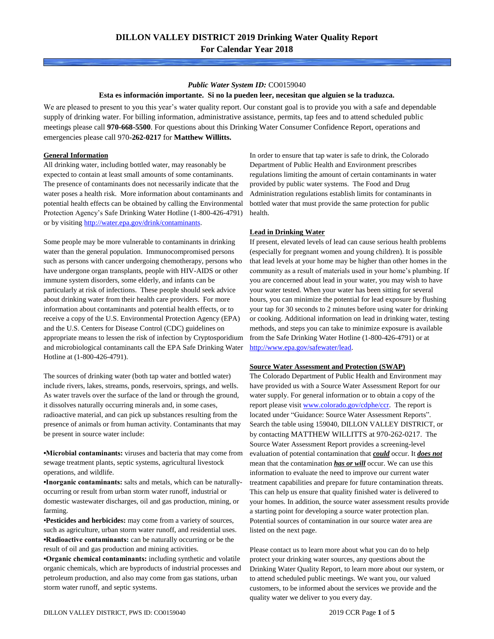#### *Public Water System ID:* CO0159040

#### **Esta es información importante. Si no la pueden leer, necesitan que alguien se la traduzca.**

We are pleased to present to you this year's water quality report. Our constant goal is to provide you with a safe and dependable supply of drinking water. For billing information, administrative assistance, permits, tap fees and to attend scheduled public meetings please call **970-668-5500**. For questions about this Drinking Water Consumer Confidence Report, operations and emergencies please call 970**-262-0217** for **Matthew Willitts.**

### **General Information**

All drinking water, including bottled water, may reasonably be expected to contain at least small amounts of some contaminants. The presence of contaminants does not necessarily indicate that the water poses a health risk. More information about contaminants and potential health effects can be obtained by calling the Environmental Protection Agency's Safe Drinking Water Hotline (1-800-426-4791) or by visiting [http://water.epa.gov/drink/contaminants.](http://water.epa.gov/drink/contaminants)

Some people may be more vulnerable to contaminants in drinking water than the general population. Immunocompromised persons such as persons with cancer undergoing chemotherapy, persons who have undergone organ transplants, people with HIV-AIDS or other immune system disorders, some elderly, and infants can be particularly at risk of infections. These people should seek advice about drinking water from their health care providers. For more information about contaminants and potential health effects, or to receive a copy of the U.S. Environmental Protection Agency (EPA) and the U.S. Centers for Disease Control (CDC) guidelines on appropriate means to lessen the risk of infection by Cryptosporidium and microbiological contaminants call the EPA Safe Drinking Water Hotline at (1-800-426-4791).

The sources of drinking water (both tap water and bottled water) include rivers, lakes, streams, ponds, reservoirs, springs, and wells. As water travels over the surface of the land or through the ground, it dissolves naturally occurring minerals and, in some cases, radioactive material, and can pick up substances resulting from the presence of animals or from human activity. Contaminants that may be present in source water include:

**•Microbial contaminants:** viruses and bacteria that may come from sewage treatment plants, septic systems, agricultural livestock operations, and wildlife.

**•Inorganic contaminants:** salts and metals, which can be naturallyoccurring or result from urban storm water runoff, industrial or domestic wastewater discharges, oil and gas production, mining, or farming.

•**Pesticides and herbicides:** may come from a variety of sources, such as agriculture, urban storm water runoff, and residential uses. **•Radioactive contaminants:** can be naturally occurring or be the result of oil and gas production and mining activities.

**•Organic chemical contaminants:** including synthetic and volatile organic chemicals, which are byproducts of industrial processes and petroleum production, and also may come from gas stations, urban storm water runoff, and septic systems.

In order to ensure that tap water is safe to drink, the Colorado Department of Public Health and Environment prescribes regulations limiting the amount of certain contaminants in water provided by public water systems. The Food and Drug Administration regulations establish limits for contaminants in bottled water that must provide the same protection for public health.

#### **Lead in Drinking Water**

If present, elevated levels of lead can cause serious health problems (especially for pregnant women and young children). It is possible that lead levels at your home may be higher than other homes in the community as a result of materials used in your home's plumbing. If you are concerned about lead in your water, you may wish to have your water tested. When your water has been sitting for several hours, you can minimize the potential for lead exposure by flushing your tap for 30 seconds to 2 minutes before using water for drinking or cooking. Additional information on lead in drinking water, testing methods, and steps you can take to minimize exposure is available from the Safe Drinking Water Hotline (1-800-426-4791) or at [http://www.epa.gov/safewater/lead.](http://www.epa.gov/safewater/lead) 

#### **Source Water Assessment and Protection (SWAP)**

The Colorado Department of Public Health and Environment may have provided us with a Source Water Assessment Report for our water supply. For general information or to obtain a copy of the report please visit [www.colorado.gov/cdphe/ccr.](https://www.colorado.gov/cdphe/ccr) The report is located under "Guidance: Source Water Assessment Reports". Search the table using 159040, DILLON VALLEY DISTRICT, or by contacting MATTHEW WILLITTS at 970-262-0217. The Source Water Assessment Report provides a screening-level evaluation of potential contamination that *could* occur. It *does not* mean that the contamination *has or will* occur. We can use this information to evaluate the need to improve our current water treatment capabilities and prepare for future contamination threats. This can help us ensure that quality finished water is delivered to your homes. In addition, the source water assessment results provide a starting point for developing a source water protection plan. Potential sources of contamination in our source water area are listed on the next page.

Please contact us to learn more about what you can do to help protect your drinking water sources, any questions about the Drinking Water Quality Report, to learn more about our system, or to attend scheduled public meetings. We want you, our valued customers, to be informed about the services we provide and the quality water we deliver to you every day.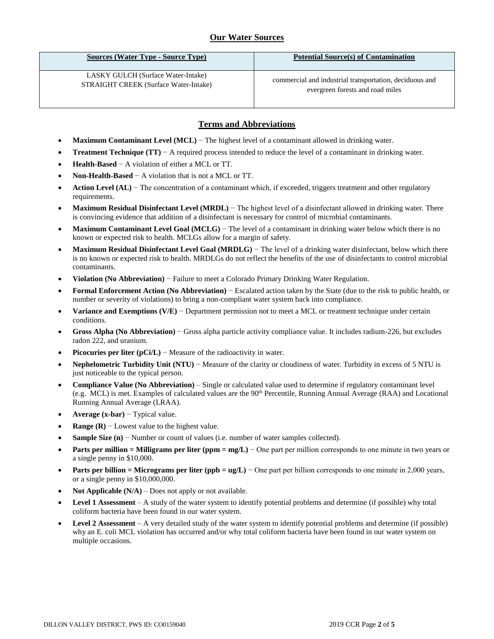## **Our Water Sources**

| <b>Sources (Water Type - Source Type)</b>    | <b>Potential Source(s) of Contamination</b>             |
|----------------------------------------------|---------------------------------------------------------|
| LASKY GULCH (Surface Water-Intake)           | commercial and industrial transportation, deciduous and |
| <b>STRAIGHT CREEK (Surface Water-Intake)</b> | evergreen forests and road miles                        |

## **Terms and Abbreviations**

- **Maximum Contaminant Level (MCL)** − The highest level of a contaminant allowed in drinking water.
- **Treatment Technique (TT)**  $A$  required process intended to reduce the level of a contaminant in drinking water.
- **Health-Based** − A violation of either a MCL or TT.
- **Non-Health-Based** − A violation that is not a MCL or TT.
- **Action Level (AL)** − The concentration of a contaminant which, if exceeded, triggers treatment and other regulatory requirements.
- **Maximum Residual Disinfectant Level (MRDL)** − The highest level of a disinfectant allowed in drinking water. There is convincing evidence that addition of a disinfectant is necessary for control of microbial contaminants.
- **Maximum Contaminant Level Goal (MCLG)** − The level of a contaminant in drinking water below which there is no known or expected risk to health. MCLGs allow for a margin of safety.
- **Maximum Residual Disinfectant Level Goal (MRDLG)** − The level of a drinking water disinfectant, below which there is no known or expected risk to health. MRDLGs do not reflect the benefits of the use of disinfectants to control microbial contaminants.
- **Violation (No Abbreviation)** − Failure to meet a Colorado Primary Drinking Water Regulation.
- **Formal Enforcement Action (No Abbreviation)** − Escalated action taken by the State (due to the risk to public health, or number or severity of violations) to bring a non-compliant water system back into compliance.
- **Variance and Exemptions (V/E)** − Department permission not to meet a MCL or treatment technique under certain conditions.
- **Gross Alpha (No Abbreviation)** − Gross alpha particle activity compliance value. It includes radium-226, but excludes radon 222, and uranium.
- **Picocuries per liter (pCi/L)** − Measure of the radioactivity in water.
- **Nephelometric Turbidity Unit (NTU)** − Measure of the clarity or cloudiness of water. Turbidity in excess of 5 NTU is just noticeable to the typical person.
- **Compliance Value (No Abbreviation)** Single or calculated value used to determine if regulatory contaminant level (e.g. MCL) is met. Examples of calculated values are the 90th Percentile, Running Annual Average (RAA) and Locational Running Annual Average (LRAA).
- **Average (x-bar)** − Typical value.
- **Range (R)**  $-$  Lowest value to the highest value.
- **Sample Size (n)** − Number or count of values (i.e. number of water samples collected).
- **Parts per million = Milligrams per liter (ppm = mg/L)** − One part per million corresponds to one minute in two years or a single penny in \$10,000.
- **Parts per billion = Micrograms per liter (ppb = ug/L)** − One part per billion corresponds to one minute in 2,000 years, or a single penny in \$10,000,000.
- **Not Applicable**  $(N/A)$  Does not apply or not available.
- **Level 1 Assessment** A study of the water system to identify potential problems and determine (if possible) why total coliform bacteria have been found in our water system.
- **Level 2 Assessment** A very detailed study of the water system to identify potential problems and determine (if possible) why an E. coli MCL violation has occurred and/or why total coliform bacteria have been found in our water system on multiple occasions.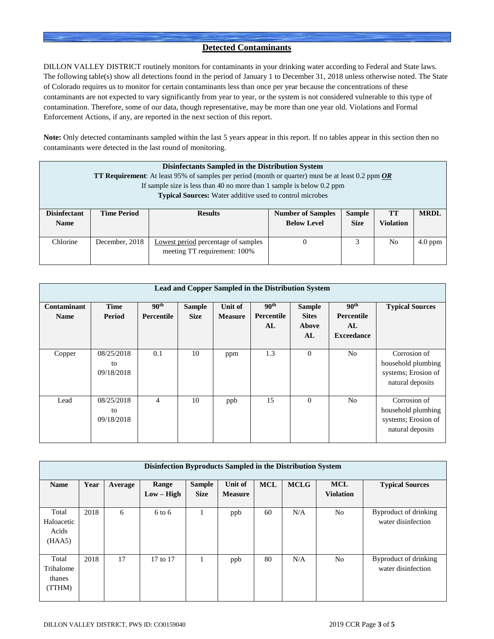### **Detected Contaminants**

DILLON VALLEY DISTRICT routinely monitors for contaminants in your drinking water according to Federal and State laws. The following table(s) show all detections found in the period of January 1 to December 31, 2018 unless otherwise noted. The State of Colorado requires us to monitor for certain contaminants less than once per year because the concentrations of these contaminants are not expected to vary significantly from year to year, or the system is not considered vulnerable to this type of contamination. Therefore, some of our data, though representative, may be more than one year old. Violations and Formal Enforcement Actions, if any, are reported in the next section of this report.

**Note:** Only detected contaminants sampled within the last 5 years appear in this report. If no tables appear in this section then no contaminants were detected in the last round of monitoring.

| Disinfectants Sampled in the Distribution System<br><b>TT Requirement:</b> At least 95% of samples per period (month or quarter) must be at least 0.2 ppm $OR$<br>If sample size is less than 40 no more than 1 sample is below $0.2$ ppm |                                                                 |                                                                     |                                                |                              |                        |             |  |  |
|-------------------------------------------------------------------------------------------------------------------------------------------------------------------------------------------------------------------------------------------|-----------------------------------------------------------------|---------------------------------------------------------------------|------------------------------------------------|------------------------------|------------------------|-------------|--|--|
|                                                                                                                                                                                                                                           | <b>Typical Sources:</b> Water additive used to control microbes |                                                                     |                                                |                              |                        |             |  |  |
| <b>Disinfectant</b><br><b>Name</b>                                                                                                                                                                                                        | <b>Time Period</b>                                              | <b>Results</b>                                                      | <b>Number of Samples</b><br><b>Below Level</b> | <b>Sample</b><br><b>Size</b> | TT<br><b>Violation</b> | <b>MRDL</b> |  |  |
| Chlorine                                                                                                                                                                                                                                  | December, 2018                                                  | Lowest period percentage of samples<br>meeting TT requirement: 100% |                                                | 3                            | No                     | $4.0$ ppm   |  |  |

|                            | Lead and Copper Sampled in the Distribution System |                                |                              |                           |                                      |                                              |                                                           |                                                                               |  |  |
|----------------------------|----------------------------------------------------|--------------------------------|------------------------------|---------------------------|--------------------------------------|----------------------------------------------|-----------------------------------------------------------|-------------------------------------------------------------------------------|--|--|
| Contaminant<br><b>Name</b> | <b>Time</b><br>Period                              | 90 <sup>th</sup><br>Percentile | <b>Sample</b><br><b>Size</b> | Unit of<br><b>Measure</b> | 90 <sup>th</sup><br>Percentile<br>AL | <b>Sample</b><br><b>Sites</b><br>Above<br>AL | 90 <sup>th</sup><br>Percentile<br>AL<br><b>Exceedance</b> | <b>Typical Sources</b>                                                        |  |  |
| Copper                     | 08/25/2018<br>to<br>09/18/2018                     | 0.1                            | 10                           | ppm                       | 1.3                                  | $\overline{0}$                               | N <sub>0</sub>                                            | Corrosion of<br>household plumbing<br>systems; Erosion of<br>natural deposits |  |  |
| Lead                       | 08/25/2018<br>to<br>09/18/2018                     | 4                              | 10                           | ppb                       | 15                                   | $\Omega$                                     | N <sub>0</sub>                                            | Corrosion of<br>household plumbing<br>systems; Erosion of<br>natural deposits |  |  |

| Disinfection Byproducts Sampled in the Distribution System |      |         |                       |                              |                           |            |             |                                |                                             |
|------------------------------------------------------------|------|---------|-----------------------|------------------------------|---------------------------|------------|-------------|--------------------------------|---------------------------------------------|
| <b>Name</b>                                                | Year | Average | Range<br>$Low - High$ | <b>Sample</b><br><b>Size</b> | Unit of<br><b>Measure</b> | <b>MCL</b> | <b>MCLG</b> | <b>MCL</b><br><b>Violation</b> | <b>Typical Sources</b>                      |
| Total<br>Haloacetic<br>Acids<br>(HAA5)                     | 2018 | 6       | $6$ to $6$            |                              | ppb                       | 60         | N/A         | N <sub>o</sub>                 | Byproduct of drinking<br>water disinfection |
| Total<br>Trihalome<br>thanes<br>(TTHM)                     | 2018 | 17      | 17 to 17              |                              | ppb                       | 80         | N/A         | N <sub>o</sub>                 | Byproduct of drinking<br>water disinfection |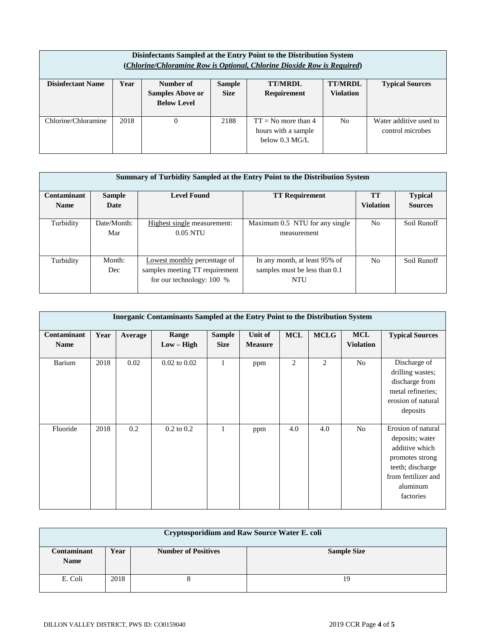| Disinfectants Sampled at the Entry Point to the Distribution System<br>(Chlorine/Chloramine Row is Optional, Chlorine Dioxide Row is Required) |      |                                                            |                              |                                                                          |                                    |                                            |  |  |
|------------------------------------------------------------------------------------------------------------------------------------------------|------|------------------------------------------------------------|------------------------------|--------------------------------------------------------------------------|------------------------------------|--------------------------------------------|--|--|
| <b>Disinfectant Name</b>                                                                                                                       | Year | Number of<br><b>Samples Above or</b><br><b>Below Level</b> | <b>Sample</b><br><b>Size</b> | <b>TT/MRDL</b><br><b>Requirement</b>                                     | <b>TT/MRDL</b><br><b>Violation</b> | <b>Typical Sources</b>                     |  |  |
| Chlorine/Chloramine                                                                                                                            | 2018 | 0                                                          | 2188                         | $TT = No$ more than 4<br>hours with a sample<br>below $0.3 \text{ MG/L}$ | N <sub>o</sub>                     | Water additive used to<br>control microbes |  |  |

| Summary of Turbidity Sampled at the Entry Point to the Distribution System |                    |                                                                                               |                                                                              |                  |                |  |  |  |  |
|----------------------------------------------------------------------------|--------------------|-----------------------------------------------------------------------------------------------|------------------------------------------------------------------------------|------------------|----------------|--|--|--|--|
| Contaminant                                                                | <b>Sample</b>      | <b>Level Found</b>                                                                            | <b>TT Requirement</b>                                                        | <b>TT</b>        | <b>Typical</b> |  |  |  |  |
| <b>Name</b>                                                                | Date               |                                                                                               |                                                                              | <b>Violation</b> | <b>Sources</b> |  |  |  |  |
| Turbidity                                                                  | Date/Month:<br>Mar | Highest single measurement:<br>$0.05$ NTU                                                     | Maximum 0.5 NTU for any single<br>measurement                                | N <sub>0</sub>   | Soil Runoff    |  |  |  |  |
| Turbidity                                                                  | Month:<br>Dec      | Lowest monthly percentage of<br>samples meeting TT requirement<br>for our technology: $100\%$ | In any month, at least 95% of<br>samples must be less than 0.1<br><b>NTU</b> | N <sub>0</sub>   | Soil Runoff    |  |  |  |  |

| <b>Inorganic Contaminants Sampled at the Entry Point to the Distribution System</b> |      |         |                  |               |                |            |                |                  |                        |
|-------------------------------------------------------------------------------------|------|---------|------------------|---------------|----------------|------------|----------------|------------------|------------------------|
|                                                                                     |      |         |                  |               |                |            |                |                  |                        |
| Contaminant                                                                         | Year | Average | Range            | <b>Sample</b> | <b>Unit of</b> | <b>MCL</b> | <b>MCLG</b>    | <b>MCL</b>       | <b>Typical Sources</b> |
| <b>Name</b>                                                                         |      |         | $Low - High$     | <b>Size</b>   | <b>Measure</b> |            |                | <b>Violation</b> |                        |
| Barium                                                                              | 2018 | 0.02    | $0.02$ to $0.02$ | 1             | ppm            | 2          | $\overline{2}$ | No               | Discharge of           |
|                                                                                     |      |         |                  |               |                |            |                |                  | drilling wastes;       |
|                                                                                     |      |         |                  |               |                |            |                |                  | discharge from         |
|                                                                                     |      |         |                  |               |                |            |                |                  | metal refineries;      |
|                                                                                     |      |         |                  |               |                |            |                |                  | erosion of natural     |
|                                                                                     |      |         |                  |               |                |            |                |                  | deposits               |
|                                                                                     |      |         |                  |               |                |            |                |                  |                        |
| Fluoride                                                                            | 2018 | 0.2     | $0.2$ to $0.2$   | 1             | ppm            | 4.0        | 4.0            | N <sub>o</sub>   | Erosion of natural     |
|                                                                                     |      |         |                  |               |                |            |                |                  | deposits; water        |
|                                                                                     |      |         |                  |               |                |            |                |                  | additive which         |
|                                                                                     |      |         |                  |               |                |            |                |                  | promotes strong        |
|                                                                                     |      |         |                  |               |                |            |                |                  | teeth; discharge       |
|                                                                                     |      |         |                  |               |                |            |                |                  | from fertilizer and    |
|                                                                                     |      |         |                  |               |                |            |                |                  | aluminum               |
|                                                                                     |      |         |                  |               |                |            |                |                  | factories              |
|                                                                                     |      |         |                  |               |                |            |                |                  |                        |

| <b>Cryptosporidium and Raw Source Water E. coli</b> |      |                            |                    |  |  |  |  |
|-----------------------------------------------------|------|----------------------------|--------------------|--|--|--|--|
| Contaminant<br><b>Name</b>                          | Year | <b>Number of Positives</b> | <b>Sample Size</b> |  |  |  |  |
| E. Coli                                             | 2018 |                            | 19                 |  |  |  |  |